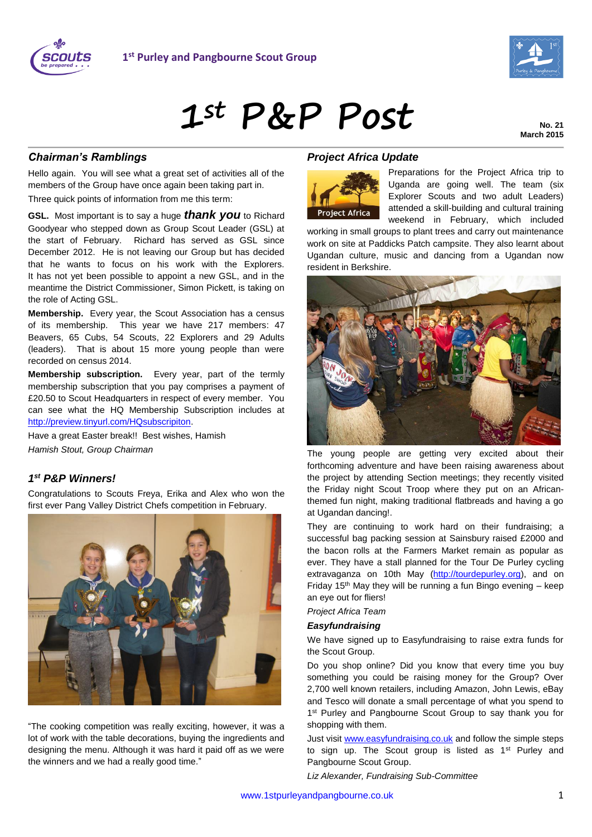



# **1st P&P Post**

**No. 21 March 2015**

## *Chairman's Ramblings*

Hello again. You will see what a great set of activities all of the members of the Group have once again been taking part in. Three quick points of information from me this term:

**GSL.** Most important is to say a huge *thank you* to Richard Goodyear who stepped down as Group Scout Leader (GSL) at the start of February. Richard has served as GSL since December 2012. He is not leaving our Group but has decided that he wants to focus on his work with the Explorers. It has not yet been possible to appoint a new GSL, and in the meantime the District Commissioner, Simon Pickett, is taking on the role of Acting GSL.

**Membership.** Every year, the Scout Association has a census of its membership. This year we have 217 members: 47 Beavers, 65 Cubs, 54 Scouts, 22 Explorers and 29 Adults (leaders). That is about 15 more young people than were recorded on census 2014.

**Membership subscription.** Every year, part of the termly membership subscription that you pay comprises a payment of £20.50 to Scout Headquarters in respect of every member. You can see what the HQ Membership Subscription includes at [http://preview.tinyurl.com/HQsubscripiton.](http://preview.tinyurl.com/HQsubscripiton)

Have a great Easter break!! Best wishes, Hamish *Hamish Stout, Group Chairman*

## *1 st P&P Winners!*

Congratulations to Scouts Freya, Erika and Alex who won the first ever Pang Valley District Chefs competition in February.



"The cooking competition was really exciting, however, it was a lot of work with the table decorations, buying the ingredients and designing the menu. Although it was hard it paid off as we were the winners and we had a really good time."

### *Project Africa Update*



Preparations for the Project Africa trip to Uganda are going well. The team (six Explorer Scouts and two adult Leaders) attended a skill-building and cultural training weekend in February, which included

working in small groups to plant trees and carry out maintenance work on site at Paddicks Patch campsite. They also learnt about Ugandan culture, music and dancing from a Ugandan now resident in Berkshire.



The young people are getting very excited about their forthcoming adventure and have been raising awareness about the project by attending Section meetings; they recently visited the Friday night Scout Troop where they put on an Africanthemed fun night, making traditional flatbreads and having a go at Ugandan dancing!.

They are continuing to work hard on their fundraising; a successful bag packing session at Sainsbury raised £2000 and the bacon rolls at the Farmers Market remain as popular as ever. They have a stall planned for the Tour De Purley cycling extravaganza on 10th May [\(http://tourdepurley.org\)](http://tourdepurley.org/), and on Friday 15<sup>th</sup> May they will be running a fun Bingo evening  $-$  keep an eye out for fliers!

#### *Project Africa Team*

#### *Easyfundraising*

We have signed up to Easyfundraising to raise extra funds for the Scout Group.

Do you shop online? Did you know that every time you buy something you could be raising money for the Group? Over 2,700 well known retailers, including Amazon, John Lewis, eBay and Tesco will donate a small percentage of what you spend to 1<sup>st</sup> Purley and Pangbourne Scout Group to say thank you for shopping with them.

Just visit [www.easyfundraising.co.uk](http://www.easyfundraising.co.uk/) and follow the simple steps to sign up. The Scout group is listed as 1<sup>st</sup> Purley and Pangbourne Scout Group.

*Liz Alexander, Fundraising Sub-Committee*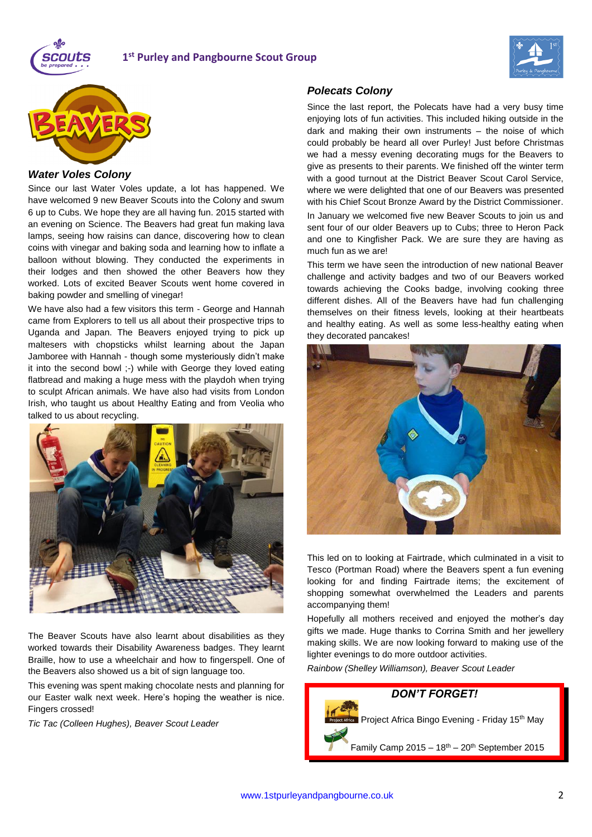

## **1 st Purley and Pangbourne Scout Group**





#### *Water Voles Colony*

Since our last Water Voles update, a lot has happened. We have welcomed 9 new Beaver Scouts into the Colony and swum 6 up to Cubs. We hope they are all having fun. 2015 started with an evening on Science. The Beavers had great fun making lava lamps, seeing how raisins can dance, discovering how to clean coins with vinegar and baking soda and learning how to inflate a balloon without blowing. They conducted the experiments in their lodges and then showed the other Beavers how they worked. Lots of excited Beaver Scouts went home covered in baking powder and smelling of vinegar!

We have also had a few visitors this term - George and Hannah came from Explorers to tell us all about their prospective trips to Uganda and Japan. The Beavers enjoyed trying to pick up maltesers with chopsticks whilst learning about the Japan Jamboree with Hannah - though some mysteriously didn't make it into the second bowl ;-) while with George they loved eating flatbread and making a huge mess with the playdoh when trying to sculpt African animals. We have also had visits from London Irish, who taught us about Healthy Eating and from Veolia who talked to us about recycling.



The Beaver Scouts have also learnt about disabilities as they worked towards their Disability Awareness badges. They learnt Braille, how to use a wheelchair and how to fingerspell. One of the Beavers also showed us a bit of sign language too.

This evening was spent making chocolate nests and planning for our Easter walk next week. Here's hoping the weather is nice. Fingers crossed!

*Tic Tac (Colleen Hughes), Beaver Scout Leader*

#### *Polecats Colony*

Since the last report, the Polecats have had a very busy time enjoying lots of fun activities. This included hiking outside in the dark and making their own instruments – the noise of which could probably be heard all over Purley! Just before Christmas we had a messy evening decorating mugs for the Beavers to give as presents to their parents. We finished off the winter term with a good turnout at the District Beaver Scout Carol Service, where we were delighted that one of our Beavers was presented with his Chief Scout Bronze Award by the District Commissioner.

In January we welcomed five new Beaver Scouts to join us and sent four of our older Beavers up to Cubs; three to Heron Pack and one to Kingfisher Pack. We are sure they are having as much fun as we are!

This term we have seen the introduction of new national Beaver challenge and activity badges and two of our Beavers worked towards achieving the Cooks badge, involving cooking three different dishes. All of the Beavers have had fun challenging themselves on their fitness levels, looking at their heartbeats and healthy eating. As well as some less-healthy eating when they decorated pancakes!



This led on to looking at Fairtrade, which culminated in a visit to Tesco (Portman Road) where the Beavers spent a fun evening looking for and finding Fairtrade items; the excitement of shopping somewhat overwhelmed the Leaders and parents accompanying them!

Hopefully all mothers received and enjoyed the mother's day gifts we made. Huge thanks to Corrina Smith and her jewellery making skills. We are now looking forward to making use of the lighter evenings to do more outdoor activities.

*Rainbow (Shelley Williamson), Beaver Scout Leader*

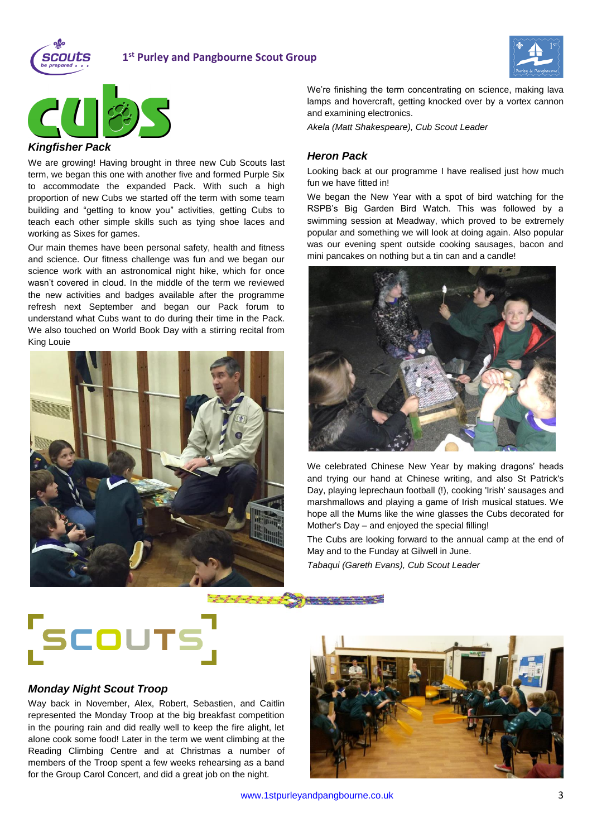

## **1 st Purley and Pangbourne Scout Group**





#### *Kingfisher Pack*

We are growing! Having brought in three new Cub Scouts last term, we began this one with another five and formed Purple Six to accommodate the expanded Pack. With such a high proportion of new Cubs we started off the term with some team building and "getting to know you" activities, getting Cubs to teach each other simple skills such as tying shoe laces and working as Sixes for games.

Our main themes have been personal safety, health and fitness and science. Our fitness challenge was fun and we began our science work with an astronomical night hike, which for once wasn't covered in cloud. In the middle of the term we reviewed the new activities and badges available after the programme refresh next September and began our Pack forum to understand what Cubs want to do during their time in the Pack. We also touched on World Book Day with a stirring recital from King Louie



We're finishing the term concentrating on science, making lava lamps and hovercraft, getting knocked over by a vortex cannon and examining electronics.

*Akela (Matt Shakespeare), Cub Scout Leader*

#### *Heron Pack*

Looking back at our programme I have realised just how much fun we have fitted in!

We began the New Year with a spot of bird watching for the RSPB's Big Garden Bird Watch. This was followed by a swimming session at Meadway, which proved to be extremely popular and something we will look at doing again. Also popular was our evening spent outside cooking sausages, bacon and mini pancakes on nothing but a tin can and a candle!



We celebrated Chinese New Year by making dragons' heads and trying our hand at Chinese writing, and also St Patrick's Day, playing leprechaun football (!), cooking 'Irish' sausages and marshmallows and playing a game of Irish musical statues. We hope all the Mums like the wine glasses the Cubs decorated for Mother's Day – and enjoyed the special filling!

The Cubs are looking forward to the annual camp at the end of May and to the Funday at Gilwell in June.

*Tabaqui (Gareth Evans), Cub Scout Leader*



#### *Monday Night Scout Troop*

Way back in November, Alex, Robert, Sebastien, and Caitlin represented the Monday Troop at the big breakfast competition in the pouring rain and did really well to keep the fire alight, let alone cook some food! Later in the term we went climbing at the Reading Climbing Centre and at Christmas a number of members of the Troop spent a few weeks rehearsing as a band for the Group Carol Concert, and did a great job on the night.